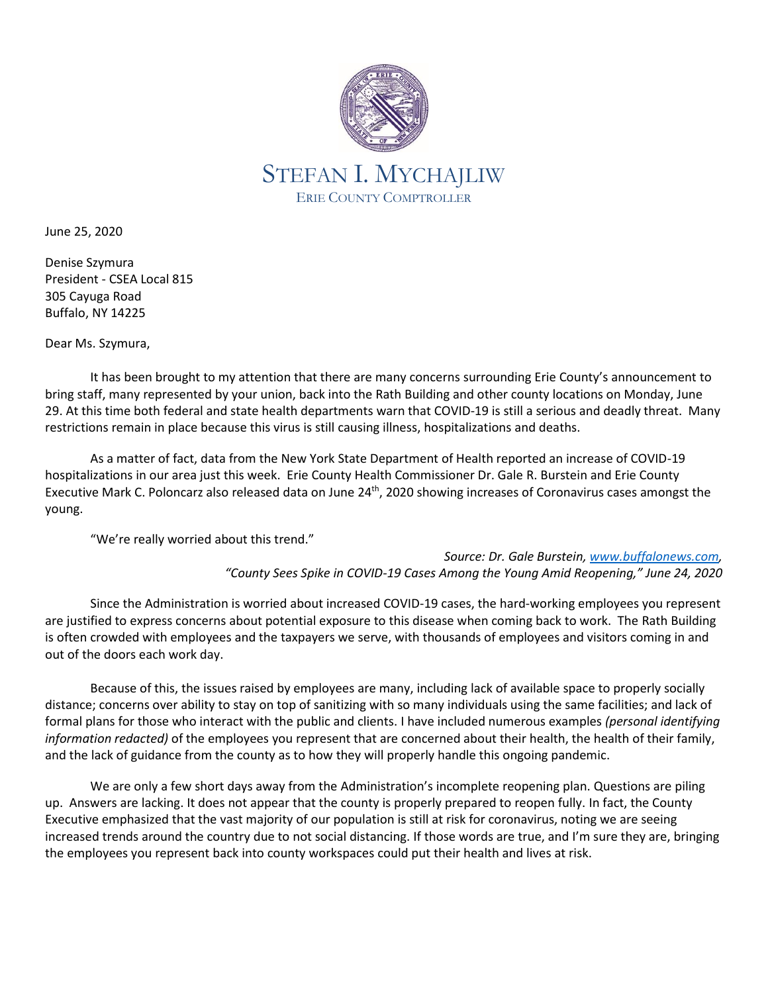

June 25, 2020

Denise Szymura President - CSEA Local 815 305 Cayuga Road Buffalo, NY 14225

Dear Ms. Szymura,

It has been brought to my attention that there are many concerns surrounding Erie County's announcement to bring staff, many represented by your union, back into the Rath Building and other county locations on Monday, June 29. At this time both federal and state health departments warn that COVID-19 is still a serious and deadly threat. Many restrictions remain in place because this virus is still causing illness, hospitalizations and deaths.

As a matter of fact, data from the New York State Department of Health reported an increase of COVID-19 hospitalizations in our area just this week. Erie County Health Commissioner Dr. Gale R. Burstein and Erie County Executive Mark C. Poloncarz also released data on June 24<sup>th</sup>, 2020 showing increases of Coronavirus cases amongst the young.

"We're really worried about this trend."

*Source: Dr. Gale Burstein, [www.buffalonews.com,](http://www.buffalonews.com/) "County Sees Spike in COVID-19 Cases Among the Young Amid Reopening," June 24, 2020*

Since the Administration is worried about increased COVID-19 cases, the hard-working employees you represent are justified to express concerns about potential exposure to this disease when coming back to work. The Rath Building is often crowded with employees and the taxpayers we serve, with thousands of employees and visitors coming in and out of the doors each work day.

Because of this, the issues raised by employees are many, including lack of available space to properly socially distance; concerns over ability to stay on top of sanitizing with so many individuals using the same facilities; and lack of formal plans for those who interact with the public and clients. I have included numerous examples *(personal identifying information redacted)* of the employees you represent that are concerned about their health, the health of their family, and the lack of guidance from the county as to how they will properly handle this ongoing pandemic.

We are only a few short days away from the Administration's incomplete reopening plan. Questions are piling up. Answers are lacking. It does not appear that the county is properly prepared to reopen fully. In fact, the County Executive emphasized that the vast majority of our population is still at risk for coronavirus, noting we are seeing increased trends around the country due to not social distancing. If those words are true, and I'm sure they are, bringing the employees you represent back into county workspaces could put their health and lives at risk.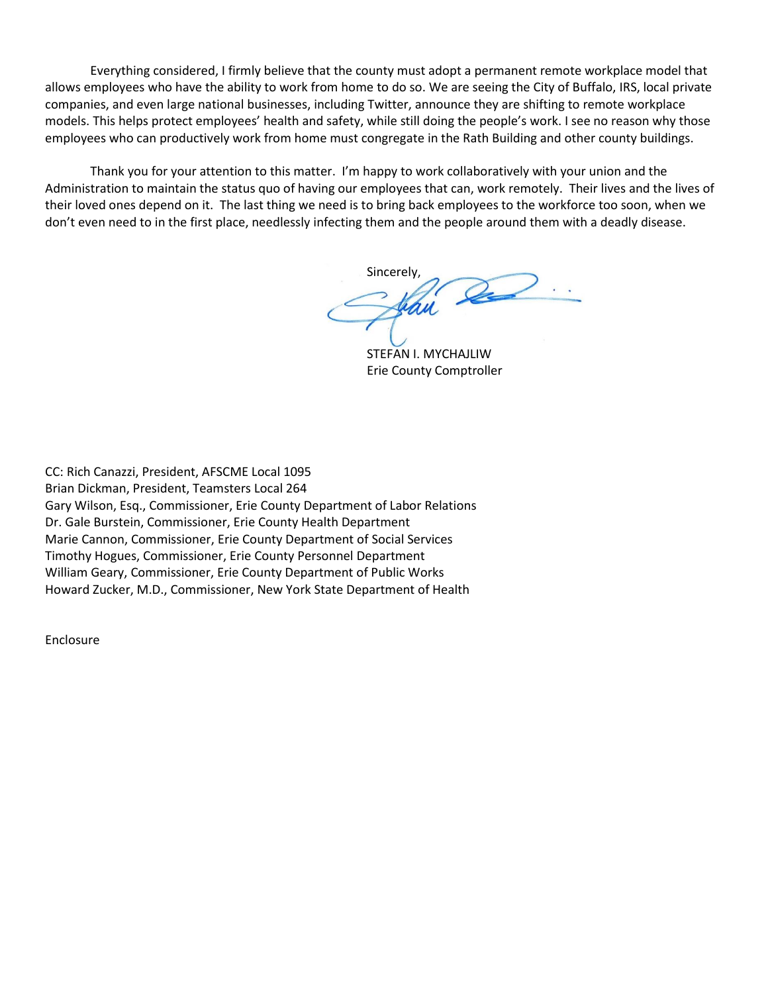Everything considered, I firmly believe that the county must adopt a permanent remote workplace model that allows employees who have the ability to work from home to do so. We are seeing the City of Buffalo, IRS, local private companies, and even large national businesses, including Twitter, announce they are shifting to remote workplace models. This helps protect employees' health and safety, while still doing the people's work. I see no reason why those employees who can productively work from home must congregate in the Rath Building and other county buildings.

Thank you for your attention to this matter. I'm happy to work collaboratively with your union and the Administration to maintain the status quo of having our employees that can, work remotely. Their lives and the lives of their loved ones depend on it. The last thing we need is to bring back employees to the workforce too soon, when we don't even need to in the first place, needlessly infecting them and the people around them with a deadly disease.

Sincerely,

STEFAN I. MYCHAJLIW Erie County Comptroller

CC: Rich Canazzi, President, AFSCME Local 1095 Brian Dickman, President, Teamsters Local 264 Gary Wilson, Esq., Commissioner, Erie County Department of Labor Relations Dr. Gale Burstein, Commissioner, Erie County Health Department Marie Cannon, Commissioner, Erie County Department of Social Services Timothy Hogues, Commissioner, Erie County Personnel Department William Geary, Commissioner, Erie County Department of Public Works Howard Zucker, M.D., Commissioner, New York State Department of Health

Enclosure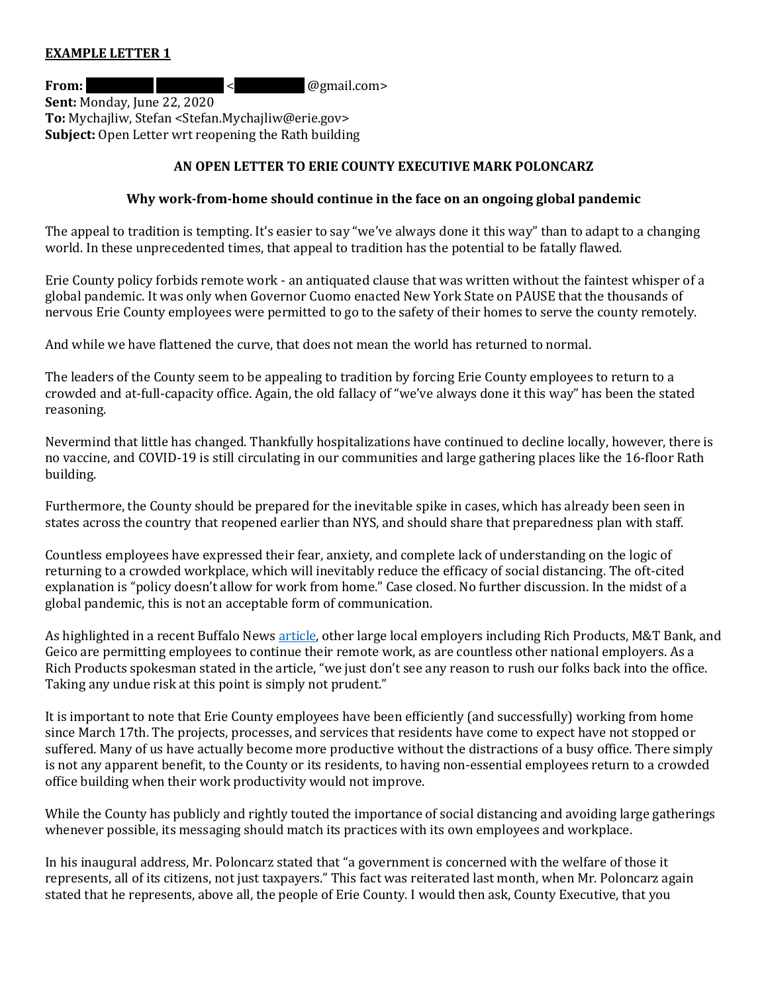#### **EXAMPLE LETTER 1**

**From:** Red. 2008 **Reduced Articles**  $\leq$  **@gmail.com> Sent:** Monday, June 22, 2020 **To:** Mychajliw, Stefan <Stefan.Mychajliw@erie.gov> **Subject:** Open Letter wrt reopening the Rath building

# **AN OPEN LETTER TO ERIE COUNTY EXECUTIVE MARK POLONCARZ**

#### **Why work-from-home should continue in the face on an ongoing global pandemic**

The appeal to tradition is tempting. It's easier to say "we've always done it this way" than to adapt to a changing world. In these unprecedented times, that appeal to tradition has the potential to be fatally flawed.

Erie County policy forbids remote work - an antiquated clause that was written without the faintest whisper of a global pandemic. It was only when Governor Cuomo enacted New York State on PAUSE that the thousands of nervous Erie County employees were permitted to go to the safety of their homes to serve the county remotely.

And while we have flattened the curve, that does not mean the world has returned to normal.

The leaders of the County seem to be appealing to tradition by forcing Erie County employees to return to a crowded and at-full-capacity office. Again, the old fallacy of "we've always done it this way" has been the stated reasoning.

Nevermind that little has changed. Thankfully hospitalizations have continued to decline locally, however, there is no vaccine, and COVID-19 is still circulating in our communities and large gathering places like the 16-floor Rath building.

Furthermore, the County should be prepared for the inevitable spike in cases, which has already been seen in states across the country that reopened earlier than NYS, and should share that preparedness plan with staff.

Countless employees have expressed their fear, anxiety, and complete lack of understanding on the logic of returning to a crowded workplace, which will inevitably reduce the efficacy of social distancing. The oft-cited explanation is "policy doesn't allow for work from home." Case closed. No further discussion. In the midst of a global pandemic, this is not an acceptable form of communication.

As highlighted in a recent Buffalo News [article,](https://buffalonews.com/2020/05/22/slow-and-steady-office-leaders-in-no-hurry-to-rush-back-to-work/) other large local employers including Rich Products, M&T Bank, and Geico are permitting employees to continue their remote work, as are countless other national employers. As a Rich Products spokesman stated in the article, "we just don't see any reason to rush our folks back into the office. Taking any undue risk at this point is simply not prudent."

It is important to note that Erie County employees have been efficiently (and successfully) working from home since March 17th. The projects, processes, and services that residents have come to expect have not stopped or suffered. Many of us have actually become more productive without the distractions of a busy office. There simply is not any apparent benefit, to the County or its residents, to having non-essential employees return to a crowded office building when their work productivity would not improve.

While the County has publicly and rightly touted the importance of social distancing and avoiding large gatherings whenever possible, its messaging should match its practices with its own employees and workplace.

In his inaugural address, Mr. Poloncarz stated that "a government is concerned with the welfare of those it represents, all of its citizens, not just taxpayers." This fact was reiterated last month, when Mr. Poloncarz again stated that he represents, above all, the people of Erie County. I would then ask, County Executive, that you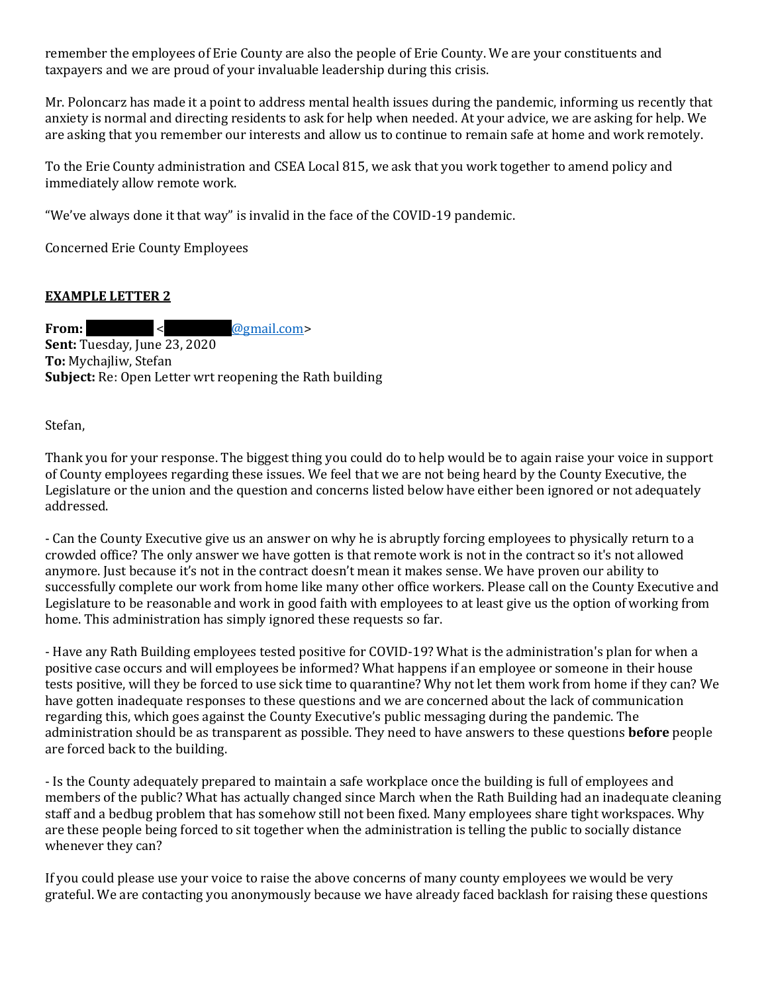remember the employees of Erie County are also the people of Erie County. We are your constituents and taxpayers and we are proud of your invaluable leadership during this crisis.

Mr. Poloncarz has made it a point to address mental health issues during the pandemic, informing us recently that anxiety is normal and directing residents to ask for help when needed. At your advice, we are asking for help. We are asking that you remember our interests and allow us to continue to remain safe at home and work remotely.

To the Erie County administration and CSEA Local 815, we ask that you work together to amend policy and immediately allow remote work.

"We've always done it that way" is invalid in the face of the COVID-19 pandemic.

Concerned Erie County Employees

# **EXAMPLE LETTER 2**

**From:**  $\leq$  **@gmail.com> Sent:** Tuesday, June 23, 2020 **To:** Mychajliw, Stefan **Subject:** Re: Open Letter wrt reopening the Rath building

Stefan,

Thank you for your response. The biggest thing you could do to help would be to again raise your voice in support of County employees regarding these issues. We feel that we are not being heard by the County Executive, the Legislature or the union and the question and concerns listed below have either been ignored or not adequately addressed.

- Can the County Executive give us an answer on why he is abruptly forcing employees to physically return to a crowded office? The only answer we have gotten is that remote work is not in the contract so it's not allowed anymore. Just because it's not in the contract doesn't mean it makes sense. We have proven our ability to successfully complete our work from home like many other office workers. Please call on the County Executive and Legislature to be reasonable and work in good faith with employees to at least give us the option of working from home. This administration has simply ignored these requests so far.

- Have any Rath Building employees tested positive for COVID-19? What is the administration's plan for when a positive case occurs and will employees be informed? What happens if an employee or someone in their house tests positive, will they be forced to use sick time to quarantine? Why not let them work from home if they can? We have gotten inadequate responses to these questions and we are concerned about the lack of communication regarding this, which goes against the County Executive's public messaging during the pandemic. The administration should be as transparent as possible. They need to have answers to these questions **before** people are forced back to the building.

- Is the County adequately prepared to maintain a safe workplace once the building is full of employees and members of the public? What has actually changed since March when the Rath Building had an inadequate cleaning staff and a bedbug problem that has somehow still not been fixed. Many employees share tight workspaces. Why are these people being forced to sit together when the administration is telling the public to socially distance whenever they can?

If you could please use your voice to raise the above concerns of many county employees we would be very grateful. We are contacting you anonymously because we have already faced backlash for raising these questions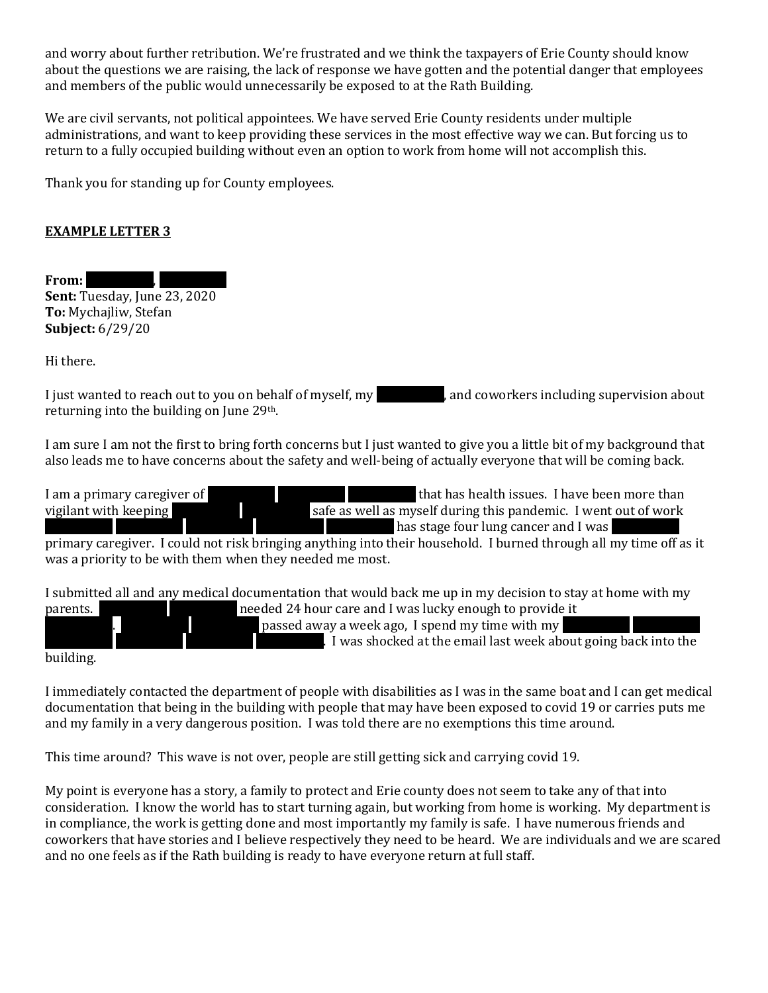and worry about further retribution. We're frustrated and we think the taxpayers of Erie County should know about the questions we are raising, the lack of response we have gotten and the potential danger that employees and members of the public would unnecessarily be exposed to at the Rath Building.

We are civil servants, not political appointees. We have served Erie County residents under multiple administrations, and want to keep providing these services in the most effective way we can. But forcing us to return to a fully occupied building without even an option to work from home will not accomplish this.

Thank you for standing up for County employees.

# **EXAMPLE LETTER 3**

From: **Sent:** Tuesday, June 23, 2020 **To:** Mychajliw, Stefan **Subject:** 6/29/20

Hi there.

I just wanted to reach out to you on behalf of myself, my Redachted, and coworkers including supervision about returning into the building on June 29th.

I am sure I am not the first to bring forth concerns but I just wanted to give you a little bit of my background that also leads me to have concerns about the safety and well-being of actually everyone that will be coming back.

I am a primary caregiver of **REDACTED REDACTED REDACTED REDACTED REDACTED REDACTED REDACTED REDACTED REDACTED REDACTED REDACTED REDACTED REDACTED VIOLET VIOLET VIOLET VIOLET STATED STATED STATED STATED STATED STATED STATED** vigilant with keeping **REDACTED REDACTED Safe as well as myself during this pandemic.** I went out of work  $R$  has stage four lung cancer and I was primary caregiver. I could not risk bringing anything into their household. I burned through all my time off as it was a priority to be with them when they needed me most.

I submitted all and any medical documentation that would back me up in my decision to stay at home with my parents. The reded 24 hour care and I was lucky enough to provide it . Redacted away a week ago, I spend my time with my REDACTED passed away a week ago, I spend my time with my . I was shocked at the email last week about going back into the

building.

I immediately contacted the department of people with disabilities as I was in the same boat and I can get medical documentation that being in the building with people that may have been exposed to covid 19 or carries puts me and my family in a very dangerous position. I was told there are no exemptions this time around.

This time around? This wave is not over, people are still getting sick and carrying covid 19.

My point is everyone has a story, a family to protect and Erie county does not seem to take any of that into consideration. I know the world has to start turning again, but working from home is working. My department is in compliance, the work is getting done and most importantly my family is safe. I have numerous friends and coworkers that have stories and I believe respectively they need to be heard. We are individuals and we are scared and no one feels as if the Rath building is ready to have everyone return at full staff.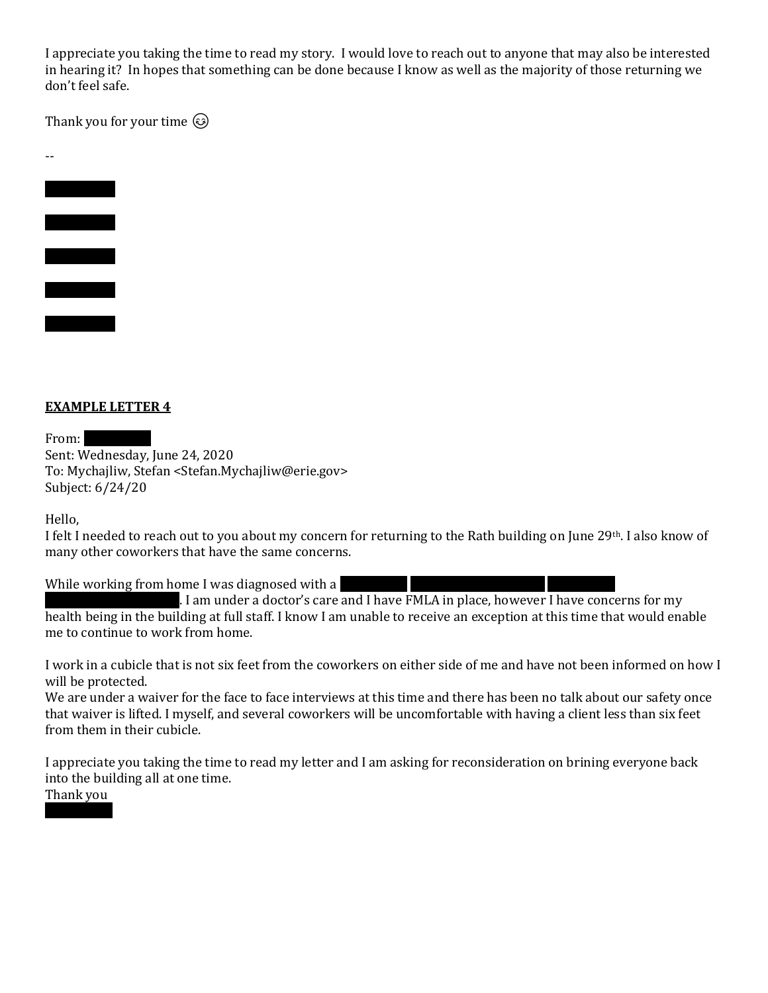I appreciate you taking the time to read my story. I would love to reach out to anyone that may also be interested in hearing it? In hopes that something can be done because I know as well as the majority of those returning we don't feel safe.

Thank you for your time  $\odot$ 

-- **REDACTED REDACTED**

# **EXAMPLE LETTER 4**

From:

Sent: Wednesday, June 24, 2020 To: Mychajliw, Stefan <Stefan.Mychajliw@erie.gov> Subject: 6/24/20

Hello,

I felt I needed to reach out to you about my concern for returning to the Rath building on June 29th. I also know of many other coworkers that have the same concerns.

While working from home I was diagnosed with a

. I am under a doctor's care and I have FMLA in place, however I have concerns for my health being in the building at full staff. I know I am unable to receive an exception at this time that would enable me to continue to work from home.

I work in a cubicle that is not six feet from the coworkers on either side of me and have not been informed on how I will be protected.

We are under a waiver for the face to face interviews at this time and there has been no talk about our safety once that waiver is lifted. I myself, and several coworkers will be uncomfortable with having a client less than six feet from them in their cubicle.

I appreciate you taking the time to read my letter and I am asking for reconsideration on brining everyone back into the building all at one time.

Thank you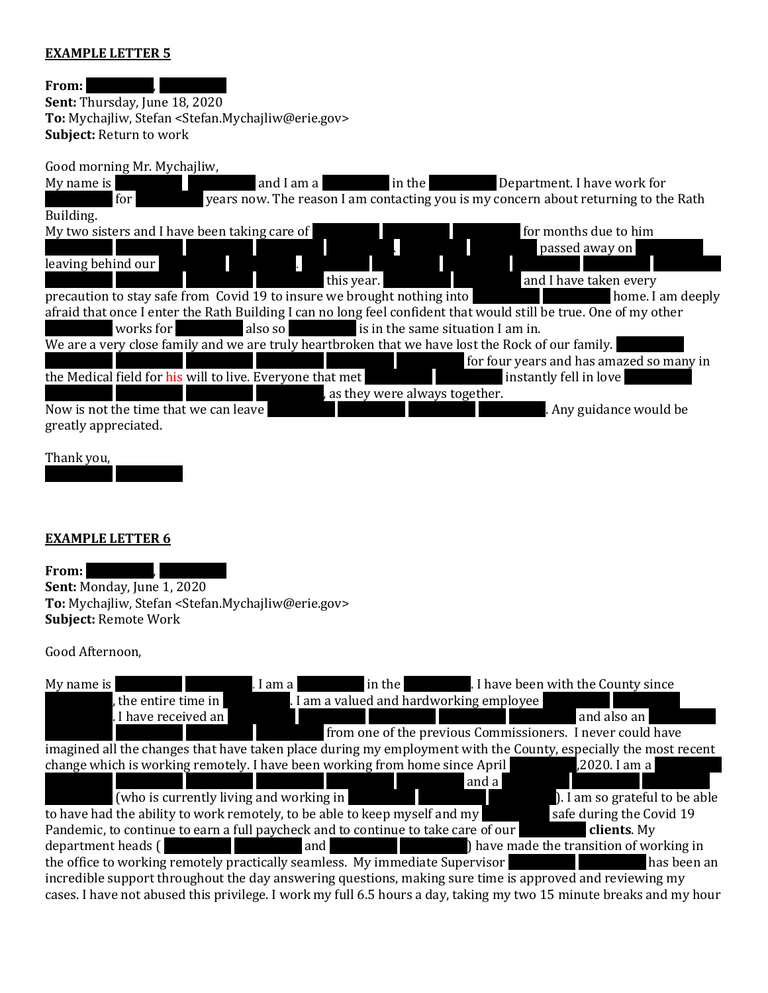#### **EXAMPLE LETTER 5**

#### **From:**

**Sent:** Thursday, June 18, 2020 **To:** Mychajliw, Stefan <Stefan.Mychajliw@erie.gov> **Subject:** Return to work

#### Good morning Mr. Mychajliw,

My name is **REDACTED REDACTED REDACTED And I am a** REDACTED in the REDACTED Department. I have work for for vears now. The reason I am contacting you is my concern about returning to the Rath Building. My two sisters and I have been taking care of REDACTED REDACTED REDACTION REDACTION REDACTION REDACTION REDACT REDACTED REDACTED REDACTED REDACTED REDACTED REDACTED REDACTED. REDACTED. REDACTED. RED. RED. RED. RED. RED. R leaving behind our this year. **Redacted Redact Redaction** and I have taken every precaution to stay safe from Covid 19 to insure we brought nothing into **REDACTED REDACTED REDACTED** home. I am deeply afraid that once I enter the Rath Building I can no long feel confident that would still be true. One of my other

for four years and has amazed so many in

We are a very close family and we are truly heartbroken that we have lost the Rock of our family. the Medical field for his will to live. Everyone that met **REDACTED REDACTED REDACTED** instantly fell in love

, as they were always together.

Now is not the time that we can leave  $\overline{R}$ greatly appreciated.

works for also so **REDACTED also so REDACTED also so REDACTED is in the same situation I am in.** 

Thank you,

# **EXAMPLE LETTER 6**

REDACTED REDACTED

From: **Sent:** Monday, June 1, 2020 **To:** Mychajliw, Stefan <Stefan.Mychajliw@erie.gov> **Subject:** Remote Work

# Good Afternoon,

| in the 1.1 I have been with the County since<br>My name is<br>$\blacksquare$ I am a                                 |
|---------------------------------------------------------------------------------------------------------------------|
| . I am a valued and hardworking employee<br>, the entire time in                                                    |
| . I have received an<br>and also an                                                                                 |
| from one of the previous Commissioners. I never could have                                                          |
| imagined all the changes that have taken place during my employment with the County, especially the most recent     |
| change which is working remotely. I have been working from home since April<br>.2020. I am a                        |
| and a                                                                                                               |
| (who is currently living and working in<br>). I am so grateful to be able<br>and the control of the control of      |
| to have had the ability to work remotely, to be able to keep myself and my<br>safe during the Covid 19              |
| Pandemic, to continue to earn a full paycheck and to continue to take care of our<br>clients. My                    |
| department heads (                                                                                                  |
| the office to working remotely practically seamless. My immediate Supervisor<br>has been an                         |
| incredible support throughout the day answering questions, making sure time is approved and reviewing my            |
| cases. I have not abused this privilege. I work my full 6.5 hours a day, taking my two 15 minute breaks and my hour |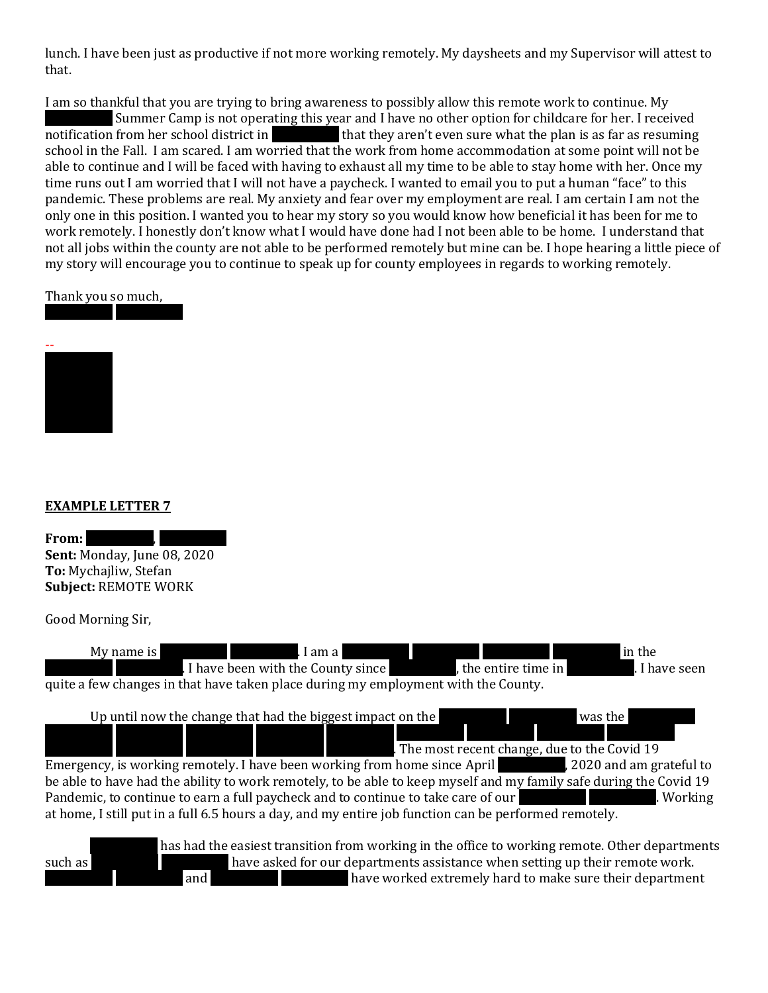lunch. I have been just as productive if not more working remotely. My daysheets and my Supervisor will attest to that.

I am so thankful that you are trying to bring awareness to possibly allow this remote work to continue. My

Summer Camp is not operating this year and I have no other option for childcare for her. I received notification from her school district in that they aren't even sure what the plan is as far as resuming school in the Fall. I am scared. I am worried that the work from home accommodation at some point will not be able to continue and I will be faced with having to exhaust all my time to be able to stay home with her. Once my time runs out I am worried that I will not have a paycheck. I wanted to email you to put a human "face" to this pandemic. These problems are real. My anxiety and fear over my employment are real. I am certain I am not the only one in this position. I wanted you to hear my story so you would know how beneficial it has been for me to work remotely. I honestly don't know what I would have done had I not been able to be home. I understand that not all jobs within the county are not able to be performed remotely but mine can be. I hope hearing a little piece of my story will encourage you to continue to speak up for county employees in regards to working remotely.

#### Thank you so much,

REDACTED REDACTED



# **EXAMPLE LETTER 7**

| From:                              |  |
|------------------------------------|--|
| <b>Sent: Monday, June 08, 2020</b> |  |
| To: Mychajliw, Stefan              |  |
| <b>Subject: REMOTE WORK</b>        |  |

Good Morning Sir,





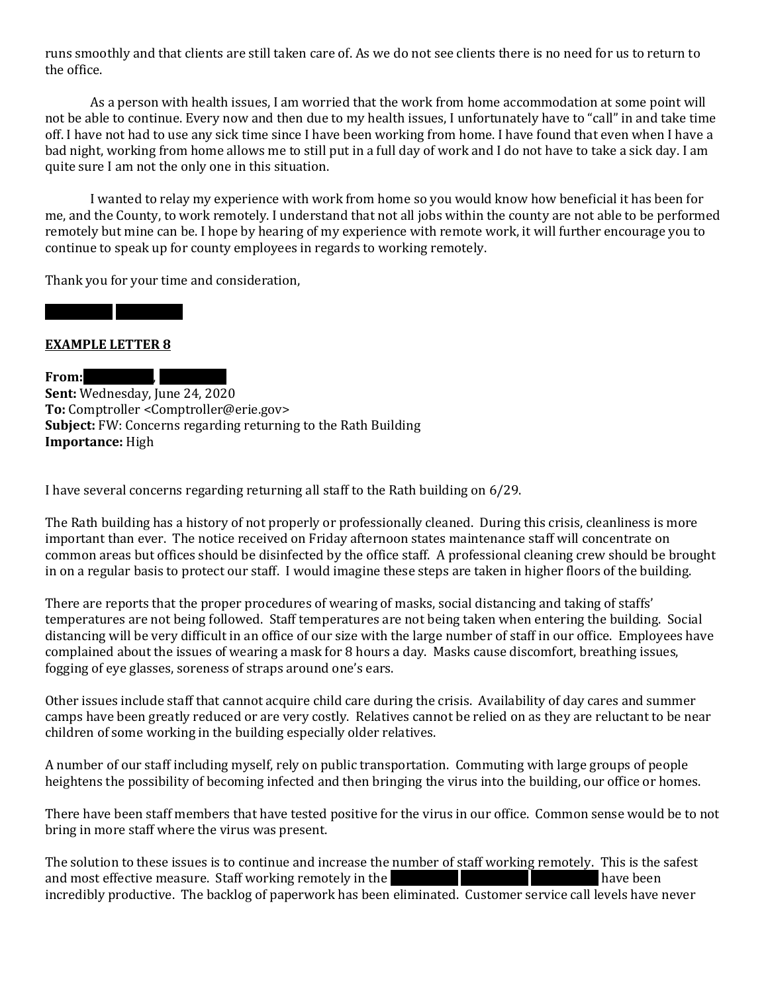runs smoothly and that clients are still taken care of. As we do not see clients there is no need for us to return to the office.

As a person with health issues, I am worried that the work from home accommodation at some point will not be able to continue. Every now and then due to my health issues, I unfortunately have to "call" in and take time off. I have not had to use any sick time since I have been working from home. I have found that even when I have a bad night, working from home allows me to still put in a full day of work and I do not have to take a sick day. I am quite sure I am not the only one in this situation.

I wanted to relay my experience with work from home so you would know how beneficial it has been for me, and the County, to work remotely. I understand that not all jobs within the county are not able to be performed remotely but mine can be. I hope by hearing of my experience with remote work, it will further encourage you to continue to speak up for county employees in regards to working remotely.

Thank you for your time and consideration,

#### **EXAMPLE LETTER 8**

REDACTED REDACTED

**From:** 

**Sent:** Wednesday, June 24, 2020 **To:** Comptroller <Comptroller@erie.gov> **Subject:** FW: Concerns regarding returning to the Rath Building **Importance:** High

I have several concerns regarding returning all staff to the Rath building on 6/29.

The Rath building has a history of not properly or professionally cleaned. During this crisis, cleanliness is more important than ever. The notice received on Friday afternoon states maintenance staff will concentrate on common areas but offices should be disinfected by the office staff. A professional cleaning crew should be brought in on a regular basis to protect our staff. I would imagine these steps are taken in higher floors of the building.

There are reports that the proper procedures of wearing of masks, social distancing and taking of staffs' temperatures are not being followed. Staff temperatures are not being taken when entering the building. Social distancing will be very difficult in an office of our size with the large number of staff in our office. Employees have complained about the issues of wearing a mask for 8 hours a day. Masks cause discomfort, breathing issues, fogging of eye glasses, soreness of straps around one's ears.

Other issues include staff that cannot acquire child care during the crisis. Availability of day cares and summer camps have been greatly reduced or are very costly. Relatives cannot be relied on as they are reluctant to be near children of some working in the building especially older relatives.

A number of our staff including myself, rely on public transportation. Commuting with large groups of people heightens the possibility of becoming infected and then bringing the virus into the building, our office or homes.

There have been staff members that have tested positive for the virus in our office. Common sense would be to not bring in more staff where the virus was present.

The solution to these issues is to continue and increase the number of staff working remotely. This is the safest and most effective measure. Staff working remotely in the REDACTED REDACTED REDACTED REDACTED REDACTED REDACTED REDACTED  $\sim$  REDACTED REDACTED REDACTED REDACTED REDACTED REDACTION REDACTION REDACTION REDACTION REDACTION R incredibly productive. The backlog of paperwork has been eliminated. Customer service call levels have never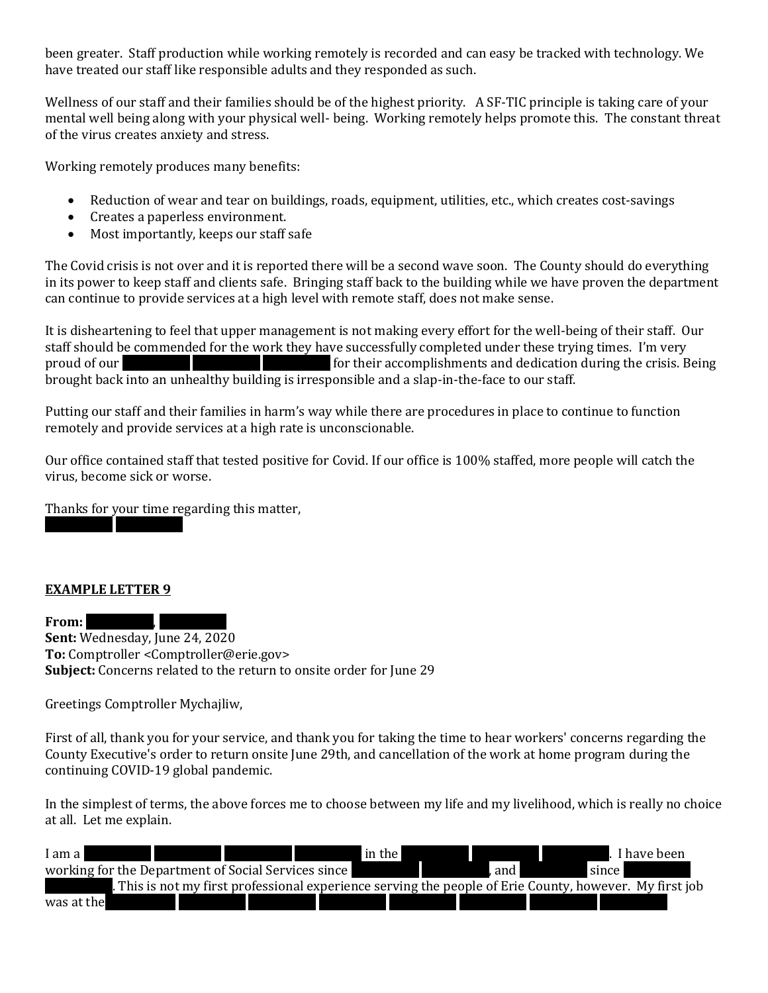been greater. Staff production while working remotely is recorded and can easy be tracked with technology. We have treated our staff like responsible adults and they responded as such.

Wellness of our staff and their families should be of the highest priority. A SF-TIC principle is taking care of your mental well being along with your physical well- being. Working remotely helps promote this. The constant threat of the virus creates anxiety and stress.

Working remotely produces many benefits:

- Reduction of wear and tear on buildings, roads, equipment, utilities, etc., which creates cost-savings
- Creates a paperless environment.
- Most importantly, keeps our staff safe

The Covid crisis is not over and it is reported there will be a second wave soon. The County should do everything in its power to keep staff and clients safe. Bringing staff back to the building while we have proven the department can continue to provide services at a high level with remote staff, does not make sense.

It is disheartening to feel that upper management is not making every effort for the well-being of their staff. Our staff should be commended for the work they have successfully completed under these trying times. I'm very proud of our **REDACTED REDACTED REDACTED REDACTED** for their accomplishments and dedication during the crisis. Being brought back into an unhealthy building is irresponsible and a slap-in-the-face to our staff.

Putting our staff and their families in harm's way while there are procedures in place to continue to function remotely and provide services at a high rate is unconscionable.

Our office contained staff that tested positive for Covid. If our office is 100% staffed, more people will catch the virus, become sick or worse.

Thanks for your time regarding this matter,

# **EXAMPLE LETTER 9**

REDACTED REDACTED

From: **Sent:** Wednesday, June 24, 2020 **To:** Comptroller <Comptroller@erie.gov> **Subject:** Concerns related to the return to onsite order for June 29

Greetings Comptroller Mychajliw,

First of all, thank you for your service, and thank you for taking the time to hear workers' concerns regarding the County Executive's order to return onsite June 29th, and cancellation of the work at home program during the continuing COVID-19 global pandemic.

In the simplest of terms, the above forces me to choose between my life and my livelihood, which is really no choice at all. Let me explain.

| I am al                                             |  | in the |       |                                                                                                         | I have been |
|-----------------------------------------------------|--|--------|-------|---------------------------------------------------------------------------------------------------------|-------------|
| working for the Department of Social Services since |  |        | . and | since                                                                                                   |             |
|                                                     |  |        |       | . This is not my first professional experience serving the people of Erie County, however. My first job |             |
| was at the                                          |  |        |       |                                                                                                         |             |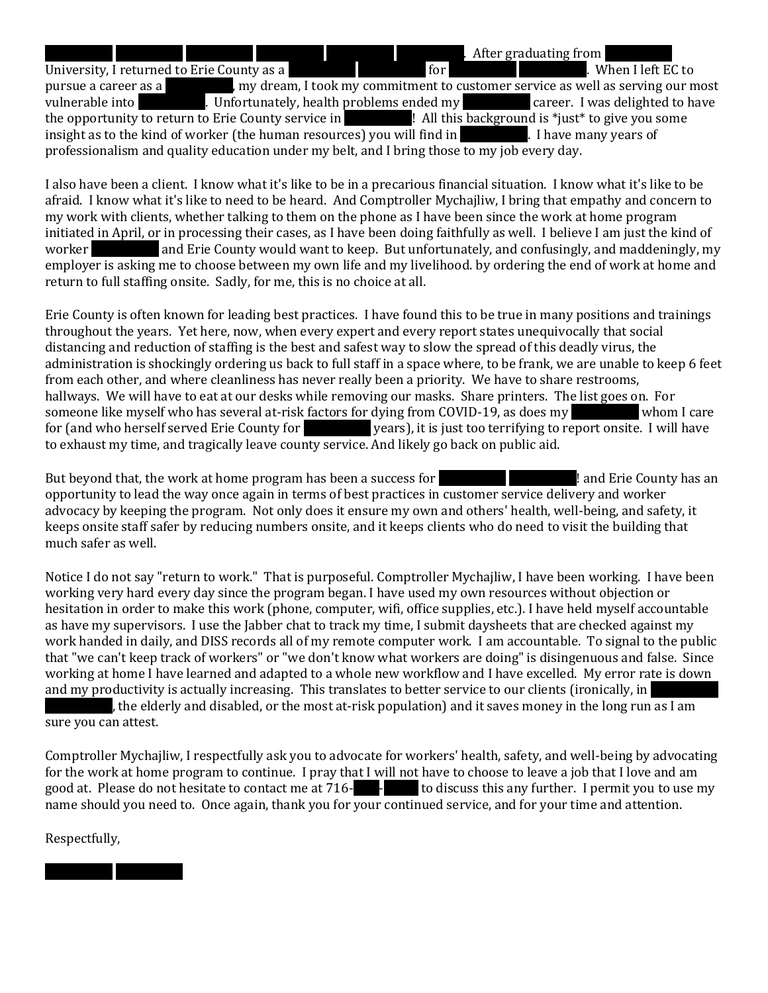**REDACTED REDACTED REDACTED REDACTED REDACTION REDACTION REDACTION REDACTION REDACTION REDACTION REDACTION REDACT** University, I returned to Erie County as a REDACTED for REDACTED REDACTED REDACTION REDACTION REDACTION REDACTED REDACTION REDACTION REDACTION REDACTION REDACTION REDACTION REDACTION REDACTION REDACTION REDACTION REDACTION pursue a career as a REDACTED, my dream, I took my commitment to customer service as well as serving our most vulnerable into REDACTED. Unfortunately, health problems ended my RED career. I was delighted to have the opportunity to return to Erie County service in Repart 1. All this background is \*just\* to give you some insight as to the kind of worker (the human resources) you will find in Fig. 1. I have many years of professionalism and quality education under my belt, and I bring those to my job every day.

I also have been a client. I know what it's like to be in a precarious financial situation. I know what it's like to be afraid. I know what it's like to need to be heard. And Comptroller Mychajliw, I bring that empathy and concern to my work with clients, whether talking to them on the phone as I have been since the work at home program initiated in April, or in processing their cases, as I have been doing faithfully as well. I believe I am just the kind of worker and Erie County would want to keep. But unfortunately, and confusingly, and maddeningly, my employer is asking me to choose between my own life and my livelihood. by ordering the end of work at home and return to full staffing onsite. Sadly, for me, this is no choice at all.

Erie County is often known for leading best practices. I have found this to be true in many positions and trainings throughout the years. Yet here, now, when every expert and every report states unequivocally that social distancing and reduction of staffing is the best and safest way to slow the spread of this deadly virus, the administration is shockingly ordering us back to full staff in a space where, to be frank, we are unable to keep 6 feet from each other, and where cleanliness has never really been a priority. We have to share restrooms, hallways. We will have to eat at our desks while removing our masks. Share printers. The list goes on. For someone like myself who has several at-risk factors for dying from COVID-19, as does my whom I care for (and who herself served Erie County for **REDACTED years)**, it is just too terrifying to report onsite. I will have to exhaust my time, and tragically leave county service. And likely go back on public aid.

But beyond that, the work at home program has been a success for REDACTED REDACTED REDACTED REDACTED REDACTED REDACTED REDACTED REDACTED REDACTED REDACTED RED. And Eric County has an opportunity to lead the way once again in terms of best practices in customer service delivery and worker advocacy by keeping the program. Not only does it ensure my own and others' health, well-being, and safety, it keeps onsite staff safer by reducing numbers onsite, and it keeps clients who do need to visit the building that much safer as well.

Notice I do not say "return to work." That is purposeful. Comptroller Mychajliw, I have been working. I have been working very hard every day since the program began. I have used my own resources without objection or hesitation in order to make this work (phone, computer, wifi, office supplies, etc.). I have held myself accountable as have my supervisors. I use the Jabber chat to track my time, I submit daysheets that are checked against my work handed in daily, and DISS records all of my remote computer work. I am accountable. To signal to the public that "we can't keep track of workers" or "we don't know what workers are doing" is disingenuous and false. Since working at home I have learned and adapted to a whole new workflow and I have excelled. My error rate is down and my productivity is actually increasing. This translates to better service to our clients (ironically, in , the elderly and disabled, or the most at-risk population) and it saves money in the long run as I am sure you can attest.

Comptroller Mychajliw, I respectfully ask you to advocate for workers' health, safety, and well-being by advocating for the work at home program to continue. I pray that I will not have to choose to leave a job that I love and am good at. Please do not hesitate to contact me at 716-  $\blacksquare$  to discuss this any further. I permit you to use my name should you need to. Once again, thank you for your continued service, and for your time and attention.

Respectfully,

REDACTED REDACTED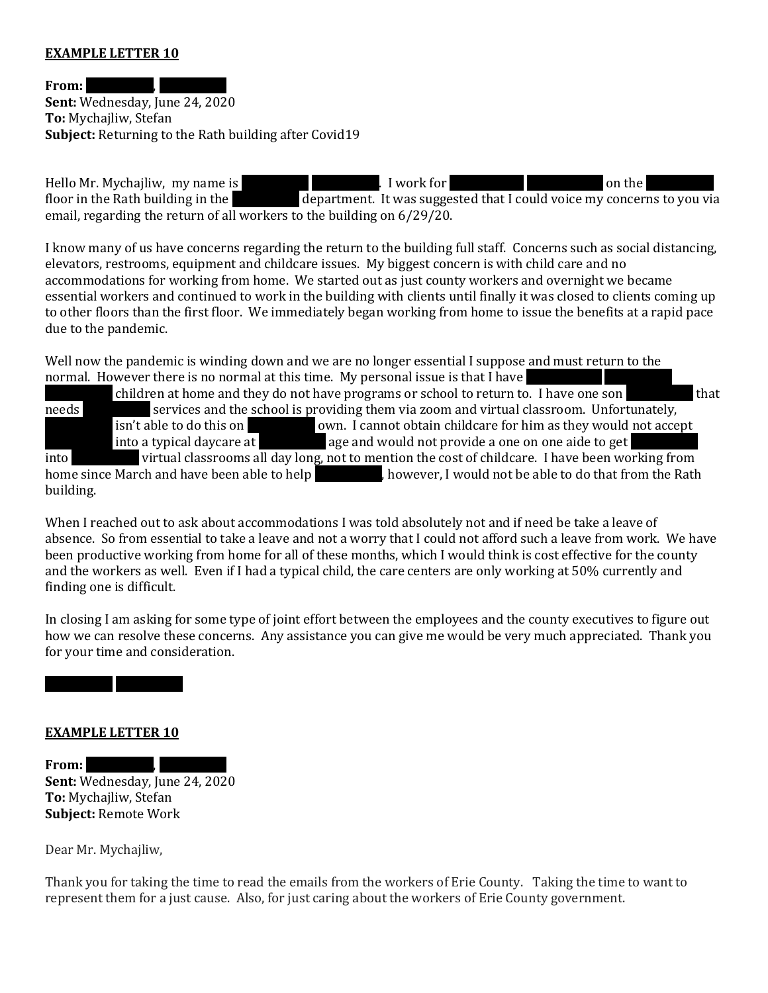#### **EXAMPLE LETTER 10**

**From:** 

**Sent:** Wednesday, June 24, 2020 **To:** Mychajliw, Stefan **Subject:** Returning to the Rath building after Covid19

Hello Mr. Mychajliw, my name is Redacted Repairs Redaction Redaction Repairs on the REDACTED subsets on the REDACTED s on the REDACTED s on the REDACTED s on the REDACTED s on the REDACTED s on the REDACTED s on the REDACT floor in the Rath building in the **REDACTED department.** It was suggested that I could voice my concerns to you via email, regarding the return of all workers to the building on 6/29/20.

I know many of us have concerns regarding the return to the building full staff. Concerns such as social distancing, elevators, restrooms, equipment and childcare issues. My biggest concern is with child care and no accommodations for working from home. We started out as just county workers and overnight we became essential workers and continued to work in the building with clients until finally it was closed to clients coming up to other floors than the first floor. We immediately began working from home to issue the benefits at a rapid pace due to the pandemic.

Well now the pandemic is winding down and we are no longer essential I suppose and must return to the normal. However there is no normal at this time. My personal issue is that I have

children at home and they do not have programs or school to return to. I have one son needs services and the school is providing them via zoom and virtual classroom. Unfortunately, isn't able to do this on **REDACTED own.** I cannot obtain childcare for him as they would not accept into a typical daycare at **REDACTED age and would not provide a one on one aide to get** REDACTED and REDACTED age and would not provide a one on one aide to get into **REDACTED virtual classrooms all day long, not to mention the cost of childcare. I have been working from** home since March and have been able to help  $\blacksquare$ , however, I would not be able to do that from the Rath building.

When I reached out to ask about accommodations I was told absolutely not and if need be take a leave of absence. So from essential to take a leave and not a worry that I could not afford such a leave from work. We have been productive working from home for all of these months, which I would think is cost effective for the county and the workers as well. Even if I had a typical child, the care centers are only working at 50% currently and finding one is difficult.

In closing I am asking for some type of joint effort between the employees and the county executives to figure out how we can resolve these concerns. Any assistance you can give me would be very much appreciated. Thank you for your time and consideration.

# REDACTED REDACTED

#### **EXAMPLE LETTER 10**

From: **Sent:** Wednesday, June 24, 2020 **To:** Mychajliw, Stefan **Subject:** Remote Work

Dear Mr. Mychajliw,

Thank you for taking the time to read the emails from the workers of Erie County. Taking the time to want to represent them for a just cause. Also, for just caring about the workers of Erie County government.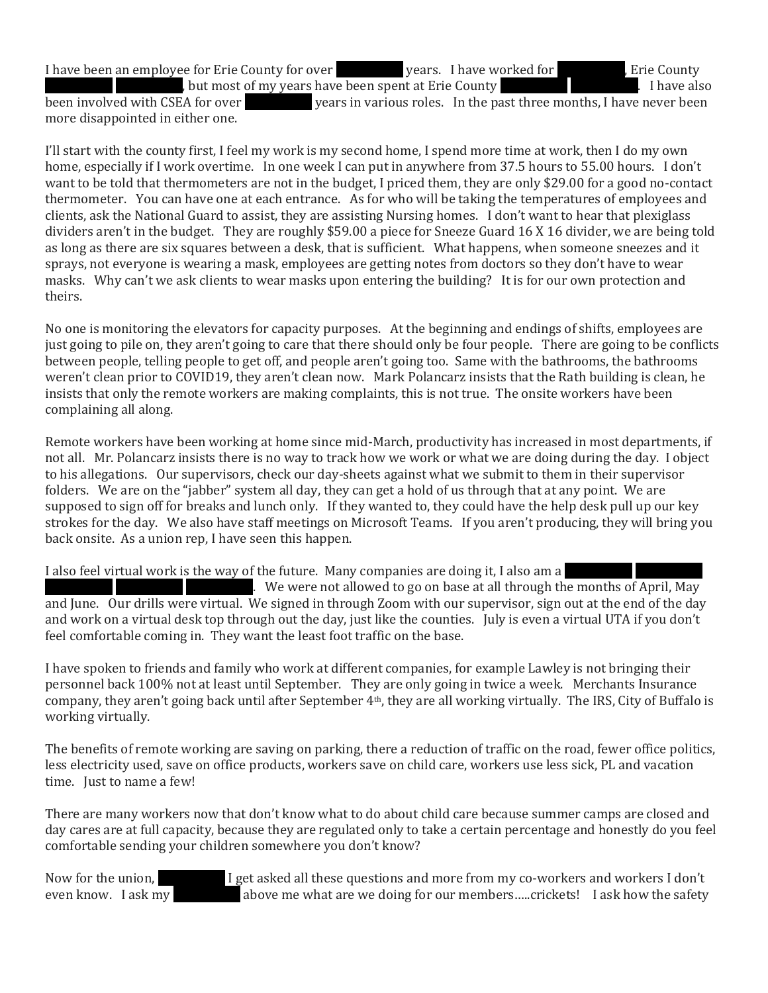I have been an employee for Erie County for over **REDACTED** years. I have worked for RepACTED, Erie County heta most of my years have been spent at Erie County **Redacted Reparts 1** and Reparts 1 have also

been involved with CSEA for over **REDACTED years in various roles.** In the past three months, I have never been more disappointed in either one.

I'll start with the county first, I feel my work is my second home, I spend more time at work, then I do my own home, especially if I work overtime. In one week I can put in anywhere from 37.5 hours to 55.00 hours. I don't want to be told that thermometers are not in the budget, I priced them, they are only \$29.00 for a good no-contact thermometer. You can have one at each entrance. As for who will be taking the temperatures of employees and clients, ask the National Guard to assist, they are assisting Nursing homes. I don't want to hear that plexiglass dividers aren't in the budget. They are roughly \$59.00 a piece for Sneeze Guard 16 X 16 divider, we are being told as long as there are six squares between a desk, that is sufficient. What happens, when someone sneezes and it sprays, not everyone is wearing a mask, employees are getting notes from doctors so they don't have to wear masks. Why can't we ask clients to wear masks upon entering the building? It is for our own protection and theirs.

No one is monitoring the elevators for capacity purposes. At the beginning and endings of shifts, employees are just going to pile on, they aren't going to care that there should only be four people. There are going to be conflicts between people, telling people to get off, and people aren't going too. Same with the bathrooms, the bathrooms weren't clean prior to COVID19, they aren't clean now. Mark Polancarz insists that the Rath building is clean, he insists that only the remote workers are making complaints, this is not true. The onsite workers have been complaining all along.

Remote workers have been working at home since mid-March, productivity has increased in most departments, if not all. Mr. Polancarz insists there is no way to track how we work or what we are doing during the day. I object to his allegations. Our supervisors, check our day-sheets against what we submit to them in their supervisor folders. We are on the "jabber" system all day, they can get a hold of us through that at any point. We are supposed to sign off for breaks and lunch only. If they wanted to, they could have the help desk pull up our key strokes for the day. We also have staff meetings on Microsoft Teams. If you aren't producing, they will bring you back onsite. As a union rep, I have seen this happen.

I also feel virtual work is the way of the future. Many companies are doing it, I also am a

REDUACTED REDACTED REDACTED. We were not allowed to go on base at all through the months of April, May and June. Our drills were virtual. We signed in through Zoom with our supervisor, sign out at the end of the day and work on a virtual desk top through out the day, just like the counties. July is even a virtual UTA if you don't feel comfortable coming in. They want the least foot traffic on the base.

I have spoken to friends and family who work at different companies, for example Lawley is not bringing their personnel back 100% not at least until September. They are only going in twice a week. Merchants Insurance company, they aren't going back until after September 4th, they are all working virtually. The IRS, City of Buffalo is working virtually.

The benefits of remote working are saving on parking, there a reduction of traffic on the road, fewer office politics, less electricity used, save on office products, workers save on child care, workers use less sick, PL and vacation time. Just to name a few!

There are many workers now that don't know what to do about child care because summer camps are closed and day cares are at full capacity, because they are regulated only to take a certain percentage and honestly do you feel comfortable sending your children somewhere you don't know?

Now for the union,  $I$  get asked all these questions and more from my co-workers and workers I don't even know. I ask my above me what are we doing for our members.....crickets! I ask how the safety